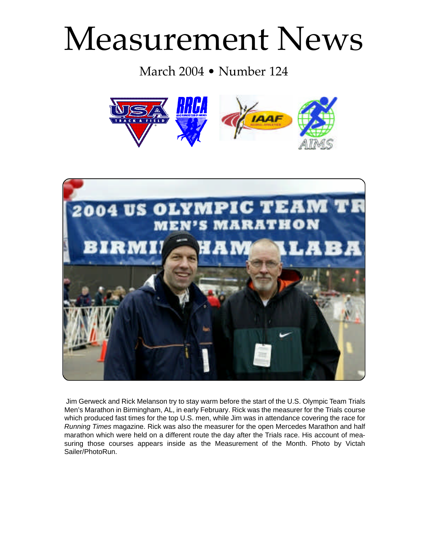# Measurement News

March 2004 • Number 124





Jim Gerweck and Rick Melanson try to stay warm before the start of the U.S. Olympic Team Trials Men's Marathon in Birmingham, AL, in early February. Rick was the measurer for the Trials course which produced fast times for the top U.S. men, while Jim was in attendance covering the race for Running Times magazine. Rick was also the measurer for the open Mercedes Marathon and half marathon which were held on a different route the day after the Trials race. His account of measuring those courses appears inside as the Measurement of the Month. Photo by Victah Sailer/PhotoRun.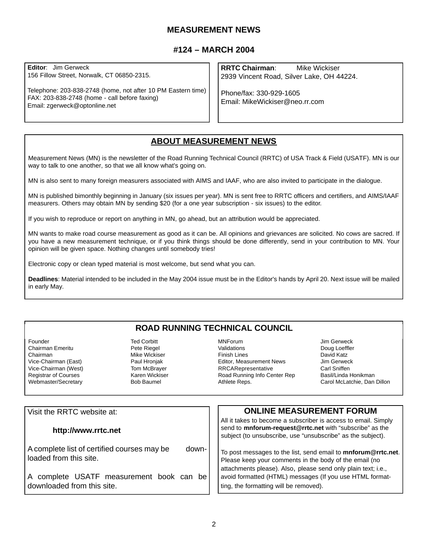## **MEASUREMENT NEWS**

## **#124 – MARCH 2004**

**Editor**: Jim Gerweck 156 Fillow Street, Norwalk, CT 06850-2315.

Telephone: 203-838-2748 (home, not after 10 PM Eastern time) FAX: 203-838-2748 (home - call before faxing) Email: zgerweck@optonline.net

**RRTC Chairman**: Mike Wickiser 2939 Vincent Road, Silver Lake, OH 44224.

Phone/fax: 330-929-1605 Email: MikeWickiser@neo.rr.com

# **ABOUT MEASUREMENT NEWS**

Measurement News (MN) is the newsletter of the Road Running Technical Council (RRTC) of USA Track & Field (USATF). MN is our way to talk to one another, so that we all know what's going on.

MN is also sent to many foreign measurers associated with AIMS and IAAF, who are also invited to participate in the dialogue.

MN is published bimonthly beginning in January (six issues per year). MN is sent free to RRTC officers and certifiers, and AIMS/IAAF measurers. Others may obtain MN by sending \$20 (for a one year subscription - six issues) to the editor.

If you wish to reproduce or report on anything in MN, go ahead, but an attribution would be appreciated.

MN wants to make road course measurement as good as it can be. All opinions and grievances are solicited. No cows are sacred. If you have a new measurement technique, or if you think things should be done differently, send in your contribution to MN. Your opinion will be given space. Nothing changes until somebody tries!

Electronic copy or clean typed material is most welcome, but send what you can.

**Deadlines**: Material intended to be included in the May 2004 issue must be in the Editor's hands by April 20. Next issue will be mailed in early May.

# **ROAD RUNNING TECHNICAL COUNCIL**

Founder<br>Chairman Emeritu **Chairman Corpus Corpus**<br>Pete Riegel Chairman Emeritu Chairman (East) Mike Wickiser<br>Vice-Chairman (East) Michael Paul Hroniak Vice-Chairman (East) **Paul Hronjak**<br>Vice-Chairman (West) Paul Hom McBraver Vice-Chairman (West) Tom McBrayer<br>Registrar of Courses The Theory Karen Wickiser Registrar of Courses **Karen Wickiss**<br>Webmaster/Secretary **Reserves** Bob Baumel Webmaster/Secretary

MNForum Jim Gerweck Finish Lines<br>
Fditor, Measurement News<br>
Lim Gerweck Editor, Measurement News Jim Gerweck<br>
RRCARepresentative Carl Sniffen **RRCARepresentative** Road Running Info Center Rep Basil/Linda Honikman<br>Athlete Reps. (and McLatchie, Dan

Doug Loeffler Carol McLatchie, Dan Dillon

| Visit the RRTC website at:                                                     | <b>ONLINE MEASUREMENT FORUM</b>                                                                                                                                                           |
|--------------------------------------------------------------------------------|-------------------------------------------------------------------------------------------------------------------------------------------------------------------------------------------|
| http://www.rrtc.net                                                            | All it takes to become a subscriber is access to email. Simply<br>send to mnforum-request@rrtc.net with "subscribe" as the<br>subject (to unsubscribe, use "unsubscribe" as the subject). |
| A complete list of certified courses may be<br>down-<br>loaded from this site. | To post messages to the list, send email to mnforum@rrtc.net.<br>Please keep your comments in the body of the email (no                                                                   |
| A complete USATF measurement book can<br>-be l<br>downloaded from this site.   | attachments please). Also, please send only plain text; i.e.,<br>avoid formatted (HTML) messages (If you use HTML format-<br>ting, the formatting will be removed).                       |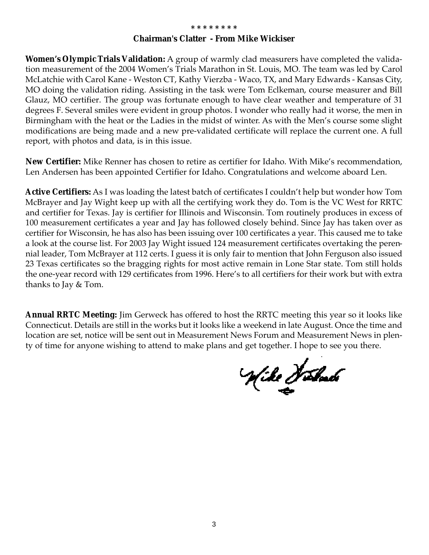#### **\* \* \* \* \* \* \* \***

# **Chairman's Clatter - From Mike Wickiser**

**Women's Olympic Trials Validation:** A group of warmly clad measurers have completed the validation measurement of the 2004 Women's Trials Marathon in St. Louis, MO. The team was led by Carol McLatchie with Carol Kane - Weston CT, Kathy Vierzba - Waco, TX, and Mary Edwards - Kansas City, MO doing the validation riding. Assisting in the task were Tom Eclkeman, course measurer and Bill Glauz, MO certifier. The group was fortunate enough to have clear weather and temperature of 31 degrees F. Several smiles were evident in group photos. I wonder who really had it worse, the men in Birmingham with the heat or the Ladies in the midst of winter. As with the Men's course some slight modifications are being made and a new pre-validated certificate will replace the current one. A full report, with photos and data, is in this issue.

**New Certifier:** Mike Renner has chosen to retire as certifier for Idaho. With Mike's recommendation, Len Andersen has been appointed Certifier for Idaho. Congratulations and welcome aboard Len.

**Active Certifiers:** As I was loading the latest batch of certificates I couldn't help but wonder how Tom McBrayer and Jay Wight keep up with all the certifying work they do. Tom is the VC West for RRTC and certifier for Texas. Jay is certifier for Illinois and Wisconsin. Tom routinely produces in excess of 100 measurement certificates a year and Jay has followed closely behind. Since Jay has taken over as certifier for Wisconsin, he has also has been issuing over 100 certificates a year. This caused me to take a look at the course list. For 2003 Jay Wight issued 124 measurement certificates overtaking the perennial leader, Tom McBrayer at 112 certs. I guess it is only fair to mention that John Ferguson also issued 23 Texas certificates so the bragging rights for most active remain in Lone Star state. Tom still holds the one-year record with 129 certificates from 1996. Here's to all certifiers for their work but with extra thanks to Jay & Tom.

**Annual RRTC Meeting:** Jim Gerweck has offered to host the RRTC meeting this year so it looks like Connecticut. Details are still in the works but it looks like a weekend in late August. Once the time and location are set, notice will be sent out in Measurement News Forum and Measurement News in plenty of time for anyone wishing to attend to make plans and get together. I hope to see you there.

Wike Holmbo<br>S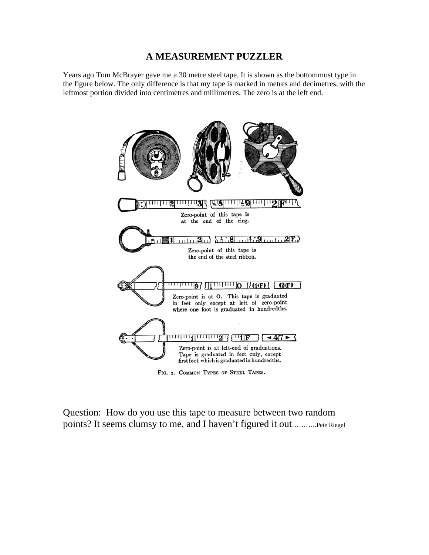# **A MEASUREMENT PUZZLER**

Years ago Tom McBrayer gave me a 30 metre steel tape. It is shown as the bottommost type in the figure below. The only difference is that my tape is marked in metres and decimetres, with the leftmost portion divided into centimetres and millimetres. The zero is at the left end.



Question: How do you use this tape to measure between two random points? It seems clumsy to me, and I haven't figured it out………..Pete Riegel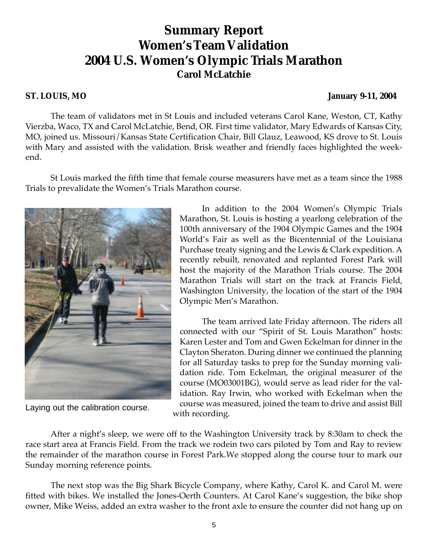# **Summary Report Women's Team Validation 2004 U.S. Women's Olympic Trials Marathon Carol McLatchie**

**ST. LOUIS, MO January 9-11, 2004**

The team of validators met in St Louis and included veterans Carol Kane, Weston, CT, Kathy Vierzba, Waco, TX and Carol McLatchie, Bend, OR. First time validator, Mary Edwards of Kansas City, MO, joined us. Missouri/Kansas State Certification Chair, Bill Glauz, Leawood, KS drove to St. Louis with Mary and assisted with the validation. Brisk weather and friendly faces highlighted the weekend.

St Louis marked the fifth time that female course measurers have met as a team since the 1988 Trials to prevalidate the Women's Trials Marathon course.



Laying out the calibration course.

In addition to the 2004 Women's Olympic Trials Marathon, St. Louis is hosting a yearlong celebration of the 100th anniversary of the 1904 Olympic Games and the 1904 World's Fair as well as the Bicentennial of the Louisiana Purchase treaty signing and the Lewis & Clark expedition. A recently rebuilt, renovated and replanted Forest Park will host the majority of the Marathon Trials course. The 2004 Marathon Trials will start on the track at Francis Field, Washington University, the location of the start of the 1904 Olympic Men's Marathon.

The team arrived late Friday afternoon. The riders all connected with our "Spirit of St. Louis Marathon" hosts: Karen Lester and Tom and Gwen Eckelman for dinner in the Clayton Sheraton. During dinner we continued the planning for all Saturday tasks to prep for the Sunday morning validation ride. Tom Eckelman, the original measurer of the course (MO03001BG), would serve as lead rider for the validation. Ray Irwin, who worked with Eckelman when the course was measured, joined the team to drive and assist Bill with recording.

After a night's sleep, we were off to the Washington University track by 8:30am to check the race start area at Francis Field. From the track we rodein two cars piloted by Tom and Ray to review the remainder of the marathon course in Forest Park.We stopped along the course tour to mark our Sunday morning reference points.

The next stop was the Big Shark Bicycle Company, where Kathy, Carol K. and Carol M. were fitted with bikes. We installed the Jones-Oerth Counters. At Carol Kane's suggestion, the bike shop owner, Mike Weiss, added an extra washer to the front axle to ensure the counter did not hang up on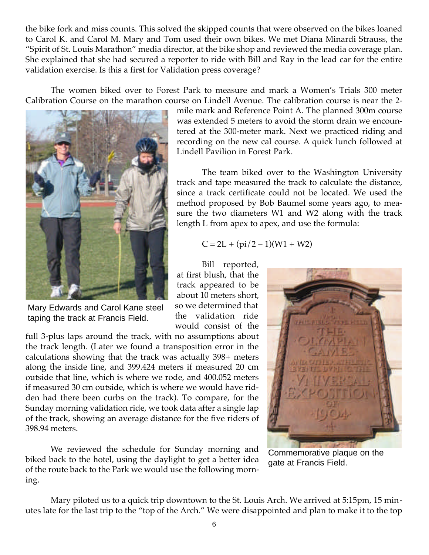the bike fork and miss counts. This solved the skipped counts that were observed on the bikes loaned to Carol K. and Carol M. Mary and Tom used their own bikes. We met Diana Minardi Strauss, the "Spirit of St. Louis Marathon" media director, at the bike shop and reviewed the media coverage plan. She explained that she had secured a reporter to ride with Bill and Ray in the lead car for the entire validation exercise. Is this a first for Validation press coverage?

The women biked over to Forest Park to measure and mark a Women's Trials 300 meter Calibration Course on the marathon course on Lindell Avenue. The calibration course is near the 2-



Mary Edwards and Carol Kane steel taping the track at Francis Field.

full 3-plus laps around the track, with no assumptions about the track length. (Later we found a transposition error in the calculations showing that the track was actually 398+ meters along the inside line, and 399.424 meters if measured 20 cm outside that line, which is where we rode, and 400.052 meters if measured 30 cm outside, which is where we would have ridden had there been curbs on the track). To compare, for the Sunday morning validation ride, we took data after a single lap of the track, showing an average distance for the five riders of 398.94 meters.

We reviewed the schedule for Sunday morning and biked back to the hotel, using the daylight to get a better idea of the route back to the Park we would use the following morning.

mile mark and Reference Point A. The planned 300m course was extended 5 meters to avoid the storm drain we encountered at the 300-meter mark. Next we practiced riding and recording on the new cal course. A quick lunch followed at Lindell Pavilion in Forest Park.

The team biked over to the Washington University track and tape measured the track to calculate the distance, since a track certificate could not be located. We used the method proposed by Bob Baumel some years ago, to measure the two diameters W1 and W2 along with the track length L from apex to apex, and use the formula:

$$
C = 2L + (pi/2 - 1)(W1 + W2)
$$

Bill reported, at first blush, that the track appeared to be about 10 meters short, so we determined that the validation ride would consist of the



Commemorative plaque on the gate at Francis Field.

Mary piloted us to a quick trip downtown to the St. Louis Arch. We arrived at 5:15pm, 15 minutes late for the last trip to the "top of the Arch." We were disappointed and plan to make it to the top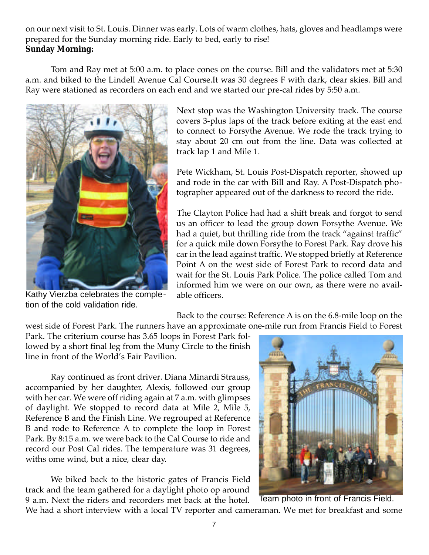on our next visit to St. Louis. Dinner was early. Lots of warm clothes, hats, gloves and headlamps were prepared for the Sunday morning ride. Early to bed, early to rise! **Sunday Morning:**

Tom and Ray met at 5:00 a.m. to place cones on the course. Bill and the validators met at 5:30 a.m. and biked to the Lindell Avenue Cal Course.It was 30 degrees F with dark, clear skies. Bill and Ray were stationed as recorders on each end and we started our pre-cal rides by 5:50 a.m.



Kathy Vierzba celebrates the completion of the cold validation ride.

Next stop was the Washington University track. The course covers 3-plus laps of the track before exiting at the east end to connect to Forsythe Avenue. We rode the track trying to stay about 20 cm out from the line. Data was collected at track lap 1 and Mile 1.

Pete Wickham, St. Louis Post-Dispatch reporter, showed up and rode in the car with Bill and Ray. A Post-Dispatch photographer appeared out of the darkness to record the ride.

The Clayton Police had had a shift break and forgot to send us an officer to lead the group down Forsythe Avenue. We had a quiet, but thrilling ride from the track "against traffic" for a quick mile down Forsythe to Forest Park. Ray drove his car in the lead against traffic. We stopped briefly at Reference Point A on the west side of Forest Park to record data and wait for the St. Louis Park Police. The police called Tom and informed him we were on our own, as there were no available officers.

Back to the course: Reference A is on the 6.8-mile loop on the

west side of Forest Park. The runners have an approximate one-mile run from Francis Field to Forest Park. The criterium course has 3.65 loops in Forest Park followed by a short final leg from the Muny Circle to the finish line in front of the World's Fair Pavilion.

Ray continued as front driver. Diana Minardi Strauss, accompanied by her daughter, Alexis, followed our group with her car. We were off riding again at 7 a.m. with glimpses of daylight. We stopped to record data at Mile 2, Mile 5, Reference B and the Finish Line. We regrouped at Reference B and rode to Reference A to complete the loop in Forest Park. By 8:15 a.m. we were back to the Cal Course to ride and record our Post Cal rides. The temperature was 31 degrees, withs ome wind, but a nice, clear day.

We biked back to the historic gates of Francis Field track and the team gathered for a daylight photo op around 9 a.m. Next the riders and recorders met back at the hotel.



We had a short interview with a local TV reporter and cameraman. We met for breakfast and some Team photo in front of Francis Field.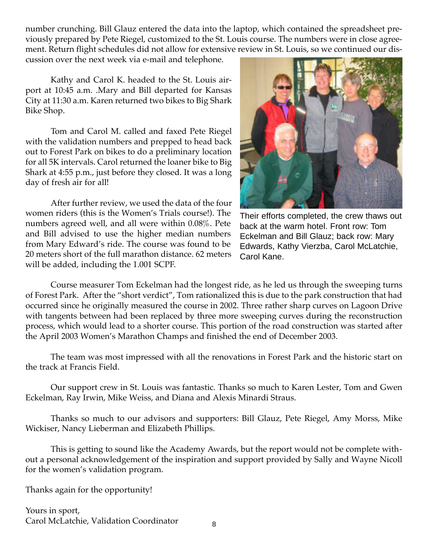number crunching. Bill Glauz entered the data into the laptop, which contained the spreadsheet previously prepared by Pete Riegel, customized to the St. Louis course. The numbers were in close agreement. Return flight schedules did not allow for extensive review in St. Louis, so we continued our dis-

cussion over the next week via e-mail and telephone.

Kathy and Carol K. headed to the St. Louis airport at 10:45 a.m. .Mary and Bill departed for Kansas City at 11:30 a.m. Karen returned two bikes to Big Shark Bike Shop.

Tom and Carol M. called and faxed Pete Riegel with the validation numbers and prepped to head back out to Forest Park on bikes to do a preliminary location for all 5K intervals. Carol returned the loaner bike to Big Shark at 4:55 p.m., just before they closed. It was a long day of fresh air for all!

After further review, we used the data of the four women riders (this is the Women's Trials course!). The numbers agreed well, and all were within 0.08%. Pete and Bill advised to use the higher median numbers from Mary Edward's ride. The course was found to be 20 meters short of the full marathon distance. 62 meters will be added, including the 1.001 SCPF.



Their efforts completed, the crew thaws out back at the warm hotel. Front row: Tom Eckelman and Bill Glauz; back row: Mary Edwards, Kathy Vierzba, Carol McLatchie, Carol Kane.

Course measurer Tom Eckelman had the longest ride, as he led us through the sweeping turns of Forest Park. After the "short verdict", Tom rationalized this is due to the park construction that had occurred since he originally measured the course in 2002. Three rather sharp curves on Lagoon Drive with tangents between had been replaced by three more sweeping curves during the reconstruction process, which would lead to a shorter course. This portion of the road construction was started after the April 2003 Women's Marathon Champs and finished the end of December 2003.

The team was most impressed with all the renovations in Forest Park and the historic start on the track at Francis Field.

Our support crew in St. Louis was fantastic. Thanks so much to Karen Lester, Tom and Gwen Eckelman, Ray Irwin, Mike Weiss, and Diana and Alexis Minardi Straus.

Thanks so much to our advisors and supporters: Bill Glauz, Pete Riegel, Amy Morss, Mike Wickiser, Nancy Lieberman and Elizabeth Phillips.

This is getting to sound like the Academy Awards, but the report would not be complete without a personal acknowledgement of the inspiration and support provided by Sally and Wayne Nicoll for the women's validation program.

Thanks again for the opportunity!

Yours in sport, Carol McLatchie, Validation Coordinator 8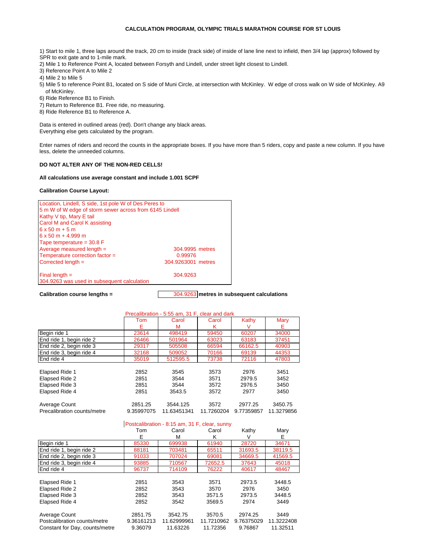#### **CALCULATION PROGRAM, OLYMPIC TRIALS MARATHON COURSE FOR ST LOUIS**

- 1) Start to mile 1, three laps around the track, 20 cm to inside (track side) of inside of lane line next to infield, then 3/4 lap (approx) followed by SPR to exit gate and to 1-mile mark.
- 2) Mile 1 to Reference Point A, located between Forsyth and Lindell, under street light closest to Lindell.
- 3) Reference Point A to Mile 2
- 4) Mile 2 to Mile 5
- of McKinley. 5) Mile 5 to reference Point B1, located on S side of Muni Circle, at intersection with McKinley. W edge of cross walk on W side of McKinley. A9
- 6) Ride Reference B1 to Finish.
- 7) Return to Reference B1. Free ride, no measuring.
- 8) Ride Reference B1 to Reference A.

Data is entered in outlined areas (red). Don't change any black areas. Everything else gets calculated by the program.

Enter names of riders and record the counts in the appropriate boxes. If you have more than 5 riders, copy and paste a new column. If you have less, delete the unneeded columns.

#### **DO NOT ALTER ANY OF THE NON-RED CELLS!**

#### **All calculations use average constant and include 1.001 SCPF**

#### **Calibration Course Layout:**

| Location, Lindell, S side, 1st pole W of Des Peres to           |                    |  |  |  |  |  |  |  |  |
|-----------------------------------------------------------------|--------------------|--|--|--|--|--|--|--|--|
| 5 m W of W edge of storm sewer across from 6145 Lindell         |                    |  |  |  |  |  |  |  |  |
| Kathy V tip, Mary E tail                                        |                    |  |  |  |  |  |  |  |  |
| Carol M and Carol K assisting                                   |                    |  |  |  |  |  |  |  |  |
| $6x50m + 5m$                                                    |                    |  |  |  |  |  |  |  |  |
| $6 \times 50$ m + 4.999 m                                       |                    |  |  |  |  |  |  |  |  |
| Tape temperature = $30.8 \text{ F}$                             |                    |  |  |  |  |  |  |  |  |
| Average measured length $=$                                     | 304,9995 metres    |  |  |  |  |  |  |  |  |
| Temperature correction factor =                                 | 0.99976            |  |  |  |  |  |  |  |  |
| Corrected length $=$                                            | 304.9263001 metres |  |  |  |  |  |  |  |  |
| Final length $=$<br>304.9263 was used in subsequent calculation | 304.9263           |  |  |  |  |  |  |  |  |
|                                                                 |                    |  |  |  |  |  |  |  |  |

**Calibration course lengths =** 304.9263 **metres in subsequent calculations**

|                             |            | Precalibration - 5:55 am, 31 F, clear and dark |            |            |            |
|-----------------------------|------------|------------------------------------------------|------------|------------|------------|
|                             | Tom        | Carol                                          | Carol      | Kathy      | Mary       |
|                             | Е          | м                                              | κ          | V          | Е.         |
| Begin ride 1                | 23614      | 498419                                         | 59450      | 60207      | 34000      |
| End ride 1, begin ride 2    | 26466      | 501964                                         | 63023      | 63183      | 37451      |
| End ride 2, begin ride 3    | 29317      | 505508                                         | 66594      | 66162.5    | 40903      |
| End ride 3, begin ride 4    | 32168      | 509052                                         | 70166      | 69139      | 44353      |
| End ride 4                  | 35019      | 512595.5                                       | 73738      | 72116      | 47803      |
|                             |            |                                                |            |            |            |
| Elapsed Ride 1              | 2852       | 3545                                           | 3573       | 2976       | 3451       |
| Elapsed Ride 2              | 2851       | 3544                                           | 3571       | 2979.5     | 3452       |
| Elapsed Ride 3              | 2851       | 3544                                           | 3572       | 2976.5     | 3450       |
| Elapsed Ride 4              | 2851       | 3543.5                                         | 3572       | 2977       | 3450       |
|                             |            |                                                |            |            |            |
| Average Count               | 2851.25    | 3544.125                                       | 3572       | 2977.25    | 3450.75    |
| Precalibration counts/metre | 9.35997075 | 11.63451341                                    | 11.7260204 | 9.77359857 | 11.3279856 |
|                             |            | Postcalibration - 8:15 am, 31 F, clear, sunny  |            |            |            |
|                             | Tom        | Carol                                          | Carol      | Kathy      | Mary       |

|                                | 1 UH       | vaivi       | vaivi      | nauv       | <b>IVIAI</b> Y |
|--------------------------------|------------|-------------|------------|------------|----------------|
|                                | Е          | М           | κ          | V          | Е              |
| Begin ride 1                   | 85330      | 699938      | 61940      | 28720      | 34671          |
| End ride 1, begin ride 2       | 88181      | 703481      | 65511      | 31693.5    | 38119.5        |
| End ride 2, begin ride 3       | 91033      | 707024      | 69081      | 34669.5    | 41569.5        |
| End ride 3, begin ride 4       | 93885      | 710567      | 72652.5    | 37643      | 45018          |
| End ride 4                     | 96737      | 714109      | 76222      | 40617      | 48467          |
|                                |            |             |            |            |                |
| Elapsed Ride 1                 | 2851       | 3543        | 3571       | 2973.5     | 3448.5         |
| Elapsed Ride 2                 | 2852       | 3543        | 3570       | 2976       | 3450           |
| Elapsed Ride 3                 | 2852       | 3543        | 3571.5     | 2973.5     | 3448.5         |
| Elapsed Ride 4                 | 2852       | 3542        | 3569.5     | 2974       | 3449           |
|                                |            |             |            |            |                |
| Average Count                  | 2851.75    | 3542.75     | 3570.5     | 2974.25    | 3449           |
| Postcalibration counts/metre   | 9.36161213 | 11.62999961 | 11.7210962 | 9.76375029 | 11.3222408     |
| Constant for Day, counts/metre | 9.36079    | 11.63226    | 11.72356   | 9.76867    | 11.32511       |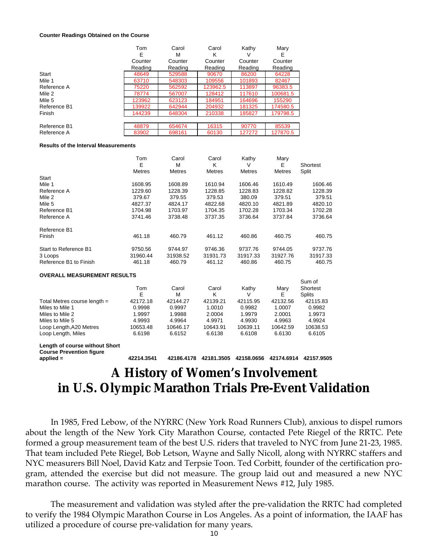#### **Counter Readings Obtained on the Course**

|              | Tom     | Carol   | Carol    | Kathy   | Mary     |
|--------------|---------|---------|----------|---------|----------|
|              | Е       | м       | κ        | v       | Е        |
|              | Counter | Counter | Counter  | Counter | Counter  |
|              | Reading | Reading | Reading  | Reading | Reading  |
| Start        | 48649   | 529588  | 90670    | 86200   | 64228    |
| Mile 1       | 63710   | 548303  | 109556   | 101893  | 82467    |
| Reference A  | 75220   | 562592  | 123962.5 | 113897  | 96383.5  |
| Mile 2       | 78774   | 567007  | 128412   | 117610  | 100681.5 |
| Mile 5       | 123962  | 623123  | 184951   | 164696  | 155290   |
| Reference B1 | 139922  | 642944  | 204932   | 181325  | 174580.5 |
| Finish       | 144239  | 648304  | 210338   | 185827  | 179798.5 |
|              |         |         |          |         |          |
| Reference B1 | 48879   | 654674  | 16315    | 90770   | 85539    |
| Reference A  | 83902   | 698161  | 60130    | 127272  | 127870.5 |

#### **Results of the Interval Measurements**

|                        | Tom<br>E      | Carol<br>М    | Carol<br>Κ    | Kathy<br>V    | Mary<br>Е     | Shortest |
|------------------------|---------------|---------------|---------------|---------------|---------------|----------|
|                        | <b>Metres</b> | <b>Metres</b> | <b>Metres</b> | <b>Metres</b> | <b>Metres</b> | Split    |
| Start                  |               |               |               |               |               |          |
| Mile 1                 | 1608.95       | 1608.89       | 1610.94       | 1606.46       | 1610.49       | 1606.46  |
| Reference A            | 1229.60       | 1228.39       | 1228.85       | 1228.83       | 1228.82       | 1228.39  |
| Mile 2                 | 379.67        | 379.55        | 379.53        | 380.09        | 379.51        | 379.51   |
| Mile 5                 | 4827.37       | 4824.17       | 4822.68       | 4820.10       | 4821.89       | 4820.10  |
| Reference B1           | 1704.98       | 1703.97       | 1704.35       | 1702.28       | 1703.34       | 1702.28  |
| Reference A            | 3741.46       | 3738.48       | 3737.35       | 3736.64       | 3737.84       | 3736.64  |
| Reference B1           |               |               |               |               |               |          |
| Finish                 | 461.18        | 460.79        | 461.12        | 460.86        | 460.75        | 460.75   |
| Start to Reference B1  | 9750.56       | 9744.97       | 9746.36       | 9737.76       | 9744.05       | 9737.76  |
| 3 Loops                | 31960.44      | 31938.52      | 31931.73      | 31917.33      | 31927.76      | 31917.33 |
| Reference B1 to Finish | 461.18        | 460.79        | 461.12        | 460.86        | 460.75        | 460.75   |

**OVERALL MEASUREMENT RESULTS**

|                                | Tom<br>Е | Carol<br>м | Carol<br>κ | Kathy    | Marv<br>E | Sum of<br>Shortest<br><b>Splits</b> |
|--------------------------------|----------|------------|------------|----------|-----------|-------------------------------------|
| Total Metres course length $=$ | 42172.18 | 42144.27   | 42139.21   | 42115.95 | 42132.56  | 42115.83                            |
| Miles to Mile 1                | 0.9998   | 0.9997     | 1.0010     | 0.9982   | 1.0007    | 0.9982                              |
| Miles to Mile 2                | 1.9997   | 1.9988     | 2.0004     | 1.9979   | 2.0001    | 1.9973                              |
| Miles to Mile 5                | 4.9993   | 4.9964     | 4.9971     | 4.9930   | 4.9963    | 4.9924                              |
| Loop Length, A20 Metres        | 10653.48 | 10646.17   | 10643.91   | 10639.11 | 10642.59  | 10638.53                            |
| Loop Length, Miles             | 6.6198   | 6.6152     | 6.6138     | 6.6108   | 6.6130    | 6.6105                              |

**Length of course without Short Course Prevention figure** 

**applied = 42214.3541 42186.4178 42181.3505 42158.0656 42174.6914 42157.9505**

# **A History of Women's Involvement in U.S. Olympic Marathon Trials Pre-Event Validation**

In 1985, Fred Lebow, of the NYRRC (New York Road Runners Club), anxious to dispel rumors about the length of the New York City Marathon Course, contacted Pete Riegel of the RRTC. Pete formed a group measurement team of the best U.S. riders that traveled to NYC from June 21-23, 1985. That team included Pete Riegel, Bob Letson, Wayne and Sally Nicoll, along with NYRRC staffers and NYC measurers Bill Noel, David Katz and Terpsie Toon. Ted Corbitt, founder of the certification program, attended the exercise but did not measure. The group laid out and measured a new NYC marathon course. The activity was reported in Measurement News #12, July 1985.

The measurement and validation was styled after the pre-validation the RRTC had completed to verify the 1984 Olympic Marathon Course in Los Angeles. As a point of information, the IAAF has utilized a procedure of course pre-validation for many years.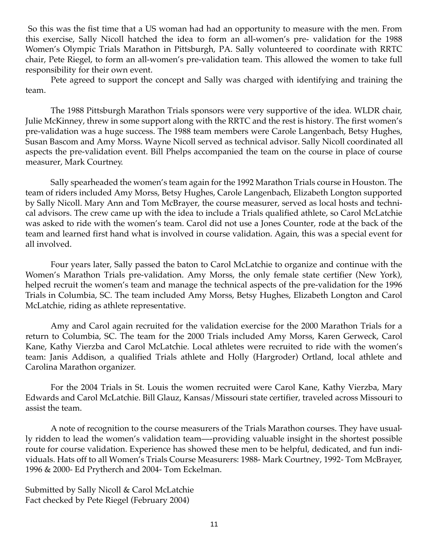So this was the fist time that a US woman had had an opportunity to measure with the men. From this exercise, Sally Nicoll hatched the idea to form an all-women's pre- validation for the 1988 Women's Olympic Trials Marathon in Pittsburgh, PA. Sally volunteered to coordinate with RRTC chair, Pete Riegel, to form an all-women's pre-validation team. This allowed the women to take full responsibility for their own event.

Pete agreed to support the concept and Sally was charged with identifying and training the team.

The 1988 Pittsburgh Marathon Trials sponsors were very supportive of the idea. WLDR chair, Julie McKinney, threw in some support along with the RRTC and the rest is history. The first women's pre-validation was a huge success. The 1988 team members were Carole Langenbach, Betsy Hughes, Susan Bascom and Amy Morss. Wayne Nicoll served as technical advisor. Sally Nicoll coordinated all aspects the pre-validation event. Bill Phelps accompanied the team on the course in place of course measurer, Mark Courtney.

Sally spearheaded the women's team again for the 1992 Marathon Trials course in Houston. The team of riders included Amy Morss, Betsy Hughes, Carole Langenbach, Elizabeth Longton supported by Sally Nicoll. Mary Ann and Tom McBrayer, the course measurer, served as local hosts and technical advisors. The crew came up with the idea to include a Trials qualified athlete, so Carol McLatchie was asked to ride with the women's team. Carol did not use a Jones Counter, rode at the back of the team and learned first hand what is involved in course validation. Again, this was a special event for all involved.

Four years later, Sally passed the baton to Carol McLatchie to organize and continue with the Women's Marathon Trials pre-validation. Amy Morss, the only female state certifier (New York), helped recruit the women's team and manage the technical aspects of the pre-validation for the 1996 Trials in Columbia, SC. The team included Amy Morss, Betsy Hughes, Elizabeth Longton and Carol McLatchie, riding as athlete representative.

Amy and Carol again recruited for the validation exercise for the 2000 Marathon Trials for a return to Columbia, SC. The team for the 2000 Trials included Amy Morss, Karen Gerweck, Carol Kane, Kathy Vierzba and Carol McLatchie. Local athletes were recruited to ride with the women's team: Janis Addison, a qualified Trials athlete and Holly (Hargroder) Ortland, local athlete and Carolina Marathon organizer.

For the 2004 Trials in St. Louis the women recruited were Carol Kane, Kathy Vierzba, Mary Edwards and Carol McLatchie. Bill Glauz, Kansas/Missouri state certifier, traveled across Missouri to assist the team.

A note of recognition to the course measurers of the Trials Marathon courses. They have usually ridden to lead the women's validation team—-providing valuable insight in the shortest possible route for course validation. Experience has showed these men to be helpful, dedicated, and fun individuals. Hats off to all Women's Trials Course Measurers: 1988- Mark Courtney, 1992- Tom McBrayer, 1996 & 2000- Ed Prytherch and 2004- Tom Eckelman.

Submitted by Sally Nicoll & Carol McLatchie Fact checked by Pete Riegel (February 2004)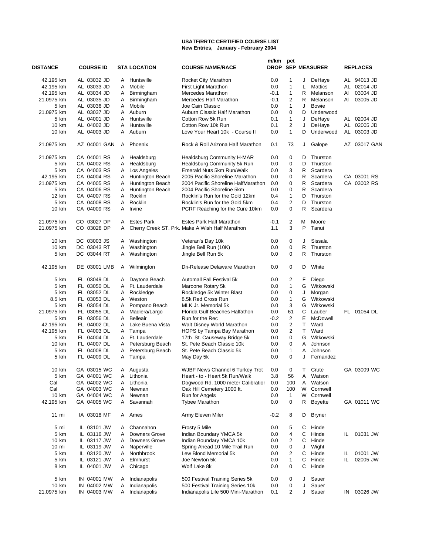#### **USATF/RRTC CERTIFIED COURSE LIST New Entries, January - February 2004**

| DISTANCE                | <b>COURSE ID</b>           |        | <b>STA LOCATION</b>                  | <b>COURSE NAME/RACE</b>                                                | m/km       | pct                              |         | <b>DROP SEP MEASURER</b> |     | <b>REPLACES</b>            |
|-------------------------|----------------------------|--------|--------------------------------------|------------------------------------------------------------------------|------------|----------------------------------|---------|--------------------------|-----|----------------------------|
| 42.195 km               | AL 03032 JD                | A      | Huntsville                           | Rocket City Marathon                                                   | 0.0        | 1                                | J       | DeHaye                   |     | AL 94013 JD                |
| 42.195 km               | AL 03033 JD                | A      | Mobile                               | First Light Marathon                                                   | 0.0        | 1                                | L       | <b>Mattics</b>           | AL  | 02014 JD                   |
| 42.195 km               | AL 03034 JD                | A      | Birmingham                           | Mercedes Marathon                                                      | -0.1       | $\mathbf{1}$                     | R       | Melanson                 | AI  | 03004 JD                   |
| 21.0975 km              | AL 03035 JD                | A      | Birmingham                           | Mercedes Half Marathon                                                 | -0.1       | $\overline{2}$                   | R       | Melanson                 | AI  | 03005 JD                   |
| 5 km                    | AL 03036 JD                | A      | Mobile                               | Joe Cain Classic                                                       | 0.0        | $\mathbf{1}$                     | J       | Bowie                    |     |                            |
| 21.0975 km              | AL 03037 JD                | A      | Auburn                               | Auburn Classic Half Marathon                                           | 0.0        | 0                                | D       | Underwood                |     |                            |
| 5 km                    | AL 04001 JD                | A      | Huntsville                           | Cotton Row 5k Run                                                      | 0.1        | $\mathbf{1}$                     | J       | DeHaye                   |     | AL 02004 JD                |
| 10 km                   | AL 04002 JD                | A<br>A | Huntsville                           | Cotton Row 10k Run                                                     | 0.1        | 2<br>$\mathbf{1}$                | J<br>D  | DeHaye<br>Underwood      |     | AL 02005 JD                |
| 10 km                   | AL 04003 JD                |        | Auburn                               | Love Your Heart 10k - Course II                                        | 0.0        |                                  |         |                          |     | AL 03003 JD                |
| 21.0975 km              | AZ 04001 GAN               | A      | Phoenix                              | Rock & Roll Arizona Half Marathon                                      | 0.1        | 73                               | J       | Galope                   |     | AZ 03017 GAN               |
| 21.0975 km              | CA 04001 RS                | A      | Healdsburg                           | Healdsburg Community H-MAR                                             | 0.0        | 0                                | D       | Thurston                 |     |                            |
| 5 km                    | CA 04002 RS                | A      | Healdsburg                           | Healdsburg Community 5k Run                                            | 0.0        | 0                                | D       | Thurston                 |     |                            |
| 5 km                    | CA 04003 RS                | A      | Los Angeles                          | Emerald Nuts 5km Run/Walk                                              | 0.0        | 3                                | R       | Scardera                 |     |                            |
| 42.195 km<br>21.0975 km | CA 04004 RS<br>CA 04005 RS | A<br>A | Huntington Beach<br>Huntington Beach | 2005 Pacific Shoreline Marathon<br>2004 Pacific Shoreline HalfMarathon | 0.0<br>0.0 | 0<br>0                           | R<br>R  | Scardera<br>Scardera     |     | CA 03001 RS<br>CA 03002 RS |
| 5 km                    | CA 04006 RS                | A      | Huntington Beach                     | 2004 Pacific Shoreline 5km                                             | 0.0        | 0                                | R       | Scardera                 |     |                            |
| 12 km                   | CA 04007 RS                | A      | Rocklin                              | Rocklin's Run for the Gold 12km                                        | 0.4        | 1                                | D       | Thurston                 |     |                            |
| 5 km                    | CA 04008 RS                | A      | Rocklin                              | Rocklin's Run for the Gold 5km                                         | 0.4        | $\overline{2}$                   | D       | Thurston                 |     |                            |
| 10 km                   | CA 04009 RS                | A      | Irvine                               | PCRF Reaching for the Cure 10km                                        | 0.0        | 0                                | R       | Scardera                 |     |                            |
| 21.0975 km              | CO 03027 DP                | A      | <b>Estes Park</b>                    | <b>Estes Park Half Marathon</b>                                        | -0.1       | 2                                | м       | Moore                    |     |                            |
| 21.0975 km              | CO 03028 DP                | A      |                                      | Cherry Creek ST. Prk. Make A Wish Half Marathon                        | 1.1        | 3                                | P       | Tanui                    |     |                            |
| 10 km                   | DC 03003 JS                | A      | Washington                           | Veteran's Day 10k                                                      | 0.0        | 0                                | J       | Sissala                  |     |                            |
| 10 km                   | DC 03043 RT                | A      | Washington                           | Jingle Bell Run (10K)                                                  | 0.0        | 0                                | R       | Thurston                 |     |                            |
| 5 km                    | DC 03044 RT                | A      | Washington                           | Jingle Bell Run 5k                                                     | 0.0        | 0                                | R       | Thurston                 |     |                            |
| 42.195 km               | DE 03001 LMB               | A      | Wilmington                           | Dri-Release Delaware Marathon                                          | 0.0        | 0                                | D       | White                    |     |                            |
| 5 km                    | FL 03049 DL                | A      | Daytona Beach                        | Automall Fall Festival 5k                                              | 0.0        | 2                                | F.      | Diego                    |     |                            |
| 5 km                    | FL 03050 DL                | A      | Ft. Lauderdale                       | Maroone Rotary 5k                                                      | 0.0        | $\mathbf{1}$                     | G       | Witkowski                |     |                            |
| 5 km                    | FL 03052 DL                | A      | Rockledge                            | Rockledge 5k Winter Blast                                              | 0.0        | 0                                | J       | Morgan                   |     |                            |
| 8.5 km                  | FL 03053 DL                | A      | Weston                               | 8.5k Red Cross Run                                                     | 0.0        | $\mathbf{1}$                     | G       | Witkowski                |     |                            |
| 5 km                    | FL 03054 DL                | A      | Pompano Beach                        | MLK Jr. Memorial 5k                                                    | 0.0        | 3                                | G       | Witkowski                |     |                            |
| 21.0975 km              | FL 03055 DL                | A      | Madiera/Largo                        | Florida Gulf Beaches Halfathon                                         | 0.0        | 61                               | C       | Lauber                   |     | FL 01054 DL                |
| 5 km                    | FL 03056 DL                | A      | <b>Belleair</b>                      | Run for the Rec                                                        | $-0.2$     | $\overline{2}$<br>$\overline{2}$ | Е<br>T. | McDowell<br>Ward         |     |                            |
| 42.195 km<br>42.195 km  | FL 04002 DL<br>FL 04003 DL | A<br>A | Lake Buena Vista<br>Tampa            | Walt Disney World Marathon<br>HOPS by Tampa Bay Marathon               | 0.0<br>0.0 | $\overline{\mathbf{c}}$          | T.      | Ward                     |     |                            |
| 5 km                    | FL 04004 DL                | A      | Ft. Lauderdale                       | 17th St. Causeway Bridge 5k                                            | 0.0        | $\mathbf 0$                      | G       | Witkowski                |     |                            |
| 10 km                   | FL 04007 DL                | A      | Petersburg Beach                     | St. Pete Beach Classic 10k                                             | 0.0        | 0                                | A       | Johnson                  |     |                            |
| 5 km                    | FL 04008 DL                | Α      | Petersburg Beach                     | St. Pete Beach Classic 5k                                              | 0.0        | 1                                | A       | Johnson                  |     |                            |
| 5 km                    | FL 04009 DL                | A      | Tampa                                | May Day 5k                                                             | 0.0        | 0                                | J       | Fernandez                |     |                            |
| 10 km                   | GA 03015 WC                |        | A Augusta                            | WJBF News Channel 6 Turkey Trot                                        | $0.0\,$    | $\Omega$                         |         | T Crute                  |     | GA 03009 WC                |
| 5 km                    | GA 04001 WC                | A      | Lithonia                             | Heart - to - Heart 5k Run/Walk                                         | 3.8        | 56                               | Α       | Watson                   |     |                            |
| Cal                     | GA 04002 WC                | A      | Lithonia                             | Dogwood Rd. 1000 meter Calibratior                                     | 0.0        | 100                              | Α       | Watson                   |     |                            |
| Cal                     | GA 04003 WC                | Α      | Newnan                               | Oak Hill Cemetery 1000 ft.                                             | 0.0        | 100                              | W       | Cornwell                 |     |                            |
| 10 km                   | GA 04004 WC                | Α      | Newnan                               | Run for Angels                                                         | 0.0        | 1                                | W       | Cornwell                 |     |                            |
| 42.195 km               | GA 04005 WC                | A      | Savannah                             | <b>Tybee Marathon</b>                                                  | 0.0        | 0                                | R       | <b>Boyette</b>           |     | GA 01011 WC                |
| 11 mi                   | IA 03018 MF                | A      | Ames                                 | Army Eleven Miler                                                      | $-0.2$     | 8                                | D       | <b>Bryner</b>            |     |                            |
| 5 mi                    | IL 03101 JW                | A      | Channahon                            | Frosty 5 Mile                                                          | 0.0        | 5                                | С       | Hinde                    |     |                            |
| 5 km                    | IL 03116 JW                | A      | <b>Downers Grove</b>                 | Indian Boundary YMCA 5k                                                | 0.0        | 4                                | С       | Hinde                    | IL. | 01031 JW                   |
| 10 km                   | IL 03117 JW                | A      | Downers Grove                        | Indian Boundary YMCA 10k                                               | 0.0        | 2                                | С       | Hinde                    |     |                            |
| 10 mi                   | IL 03119 JW                | A      | Naperville                           | Spring Ahead 10 Mile Trail Run                                         | 0.0        | 0                                | J       | Wight                    |     |                            |
| 5 km                    | IL 03120 JW                | A      | Northbrook                           | Lew Blond Memorial 5k                                                  | 0.0        | 2                                | С       | Hinde                    | IL. | 01001 JW                   |
| 5 km<br>8 km            | IL 03121 JW<br>IL 04001 JW | A      | Elmhurst<br>Chicago                  | Joe Newton 5k<br>Wolf Lake 8k                                          | 0.0<br>0.0 | 1<br>0                           | С<br>С  | Hinde<br>Hinde           | IL  | 02005 JW                   |
|                         |                            | A      |                                      |                                                                        |            |                                  |         |                          |     |                            |
| 5 km                    | IN 04001 MW                | A      | Indianapolis                         | 500 Festival Training Series 5k                                        | 0.0        | 0                                | J       | Sauer                    |     |                            |
| 10 km                   | IN 04002 MW                | A      | Indianapolis                         | 500 Festival Training Series 10k                                       | 0.0        | 0                                | J       | Sauer                    |     |                            |
| 21.0975 km              | IN 04003 MW                | A      | Indianapolis                         | Indianapolis Life 500 Mini-Marathon                                    | 0.1        | $\overline{2}$                   | J       | Sauer                    | IN  | 03026 JW                   |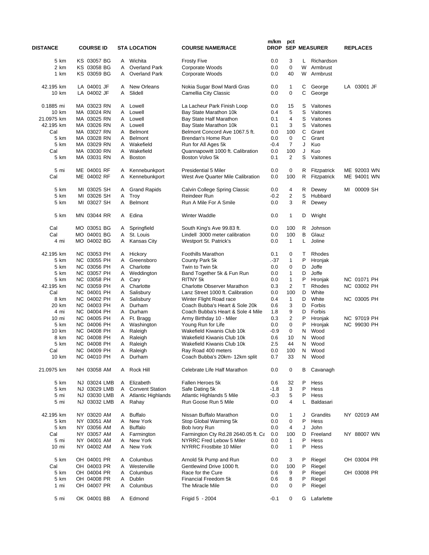| <b>DISTANCE</b> | <b>COURSE ID</b>           |        | <b>STA LOCATION</b>        | <b>COURSE NAME/RACE</b>                                  | m/km          | pct               |              | <b>DROP SEP MEASURER</b> |    | <b>REPLACES</b> |
|-----------------|----------------------------|--------|----------------------------|----------------------------------------------------------|---------------|-------------------|--------------|--------------------------|----|-----------------|
| 5 km            | KS 03057 BG                | A      | Wichita                    | <b>Frosty Five</b>                                       | 0.0           | 3                 | L.           | Richardson               |    |                 |
| 2 km            | KS 03058 BG                | A      | <b>Overland Park</b>       | Corporate Woods                                          | 0.0           | $\mathbf 0$       | W            | Armbrust                 |    |                 |
| 1 km            | KS 03059 BG                | A      | <b>Overland Park</b>       | Corporate Woods                                          | 0.0           | 40                | W            | Armbrust                 |    |                 |
| 42.195 km       | LA 04001 JF                | A      | New Orleans                | Nokia Sugar Bowl Mardi Gras                              | 0.0           | 1                 | С            | George                   |    | LA 03001 JF     |
| 10 km           | LA 04002 JF                | A      | Slidell                    | Camellia City Classic                                    | 0.0           | 0                 | С            | George                   |    |                 |
| 0.1885 mi       | MA 03023 RN                | A      | Lowell                     | La Lacheur Park Finish Loop                              | 0.0           | 15                | S            | Vaitones                 |    |                 |
| 10 km           | MA 03024 RN                | A      | Lowell                     | Bay State Marathon 10k                                   | 0.4           | 5                 | S            | Vaitones                 |    |                 |
| 21.0975 km      | MA 03025 RN                | A      | Lowell                     | Bay State Half Marathon                                  | 0.1           | $\overline{4}$    | S            | Vaitones                 |    |                 |
| 42.195 km       | MA 03026 RN                | A      | Lowell                     | Bay State Marathon 10k                                   | 0.1           | 3                 | S            | Vaitones                 |    |                 |
| Cal<br>5 km     | MA 03027 RN<br>MA 03028 RN | A<br>A | Belmont<br><b>Belmont</b>  | Belmont Concord Ave 1067.5 ft.<br>Brendan's Home Run     | 0.0<br>0.0    | 100<br>0          | C<br>C       | Grant<br>Grant           |    |                 |
| 5 km            | MA 03029 RN                | A      | Wakefield                  | Run for All Ages 5k                                      | $-0.4$        | 7                 | J            | Kuo                      |    |                 |
| Cal             | MA 03030 RN                | A      | Wakefield                  | Quannapowitt 1000 ft. Calibration                        | 0.0           | 100               | J            | Kuo                      |    |                 |
| 5 km            | MA 03031 RN                | A      | <b>Boston</b>              | Boston Volvo 5k                                          | 0.1           | 2                 | S            | Vaitones                 |    |                 |
| 5 mi            | ME 04001 RF                | A      | Kennebunkport              | <b>Presidential 5 Miler</b>                              | 0.0           | 0                 | R            | Fitzpatrick              |    | ME 92003 WN     |
| Cal             | ME 04002 RF                | A      | Kennebunkport              | West Ave Quarter Mile Calibration                        | 0.0           | 100               | R            | Fitzpatrick              |    | ME 94001 WN     |
| 5 km            | MI 03025 SH                | A      | <b>Grand Rapids</b>        | Calvin College Spring Classic                            | 0.0           | 4                 | R            | Dewey                    | MI | 00009 SH        |
| 5 km            | MI 03026 SH                | Α      | Troy                       | Reindeer Run                                             | $-0.2$        | 2                 | S            | Hubbard                  |    |                 |
| 5 km            | MI 03027 SH                | A      | <b>Belmont</b>             | Run A Mile For A Smile                                   | 0.0           | 3                 | R            | Dewey                    |    |                 |
| 5 km            | MN 03044 RR                | A      | Edina                      | Winter Waddle                                            | 0.0           | $\mathbf{1}$      | D            | Wright                   |    |                 |
| Cal             | MO 03051 BG                | A      | Springfield                | South King's Ave 99.83 ft.                               | 0.0           | 100               | R            | Johnson                  |    |                 |
| Cal             | MO 04001 BG                | Α      | St. Louis                  | Lindell 3000 meter calibration                           | 0.0           | 100               | в            | Glauz                    |    |                 |
| 4 mi            | MO 04002 BG                | A      | <b>Kansas City</b>         | Westport St. Patrick's                                   | 0.0           | 1                 | L            | Joline                   |    |                 |
| 42.195 km       | NC 03053 PH                | A      | Hickory                    | <b>Foothills Marathon</b>                                | 0.1           | 0                 | т            | Rhodes                   |    |                 |
| 5 km            | NC 03055 PH                | A      | Greensboro                 | County Park 5k                                           | $-37$         | 1                 | P            | Hronjak                  |    |                 |
| 5 km            | NC 03056 PH<br>NC 03057 PH | A      | Charlotte                  | Twin to Twin 5k                                          | 0.0           | 0<br>$\mathbf{1}$ | D<br>D       | Joffe<br>Joffe           |    |                 |
| 5 km<br>5 km    | NC 03058 PH                | A<br>Α | Weddington<br>Cary         | Band Together 5k & Fun Run<br>RITNY 5k                   | 0.0<br>0.0    | $\mathbf{1}$      | P            | Hronjak                  |    | NC 01071 PH     |
| 42.195 km       | NC 03059 PH                | A      | Charlotte                  | <b>Charlotte Observer Marathon</b>                       | 0.3           | $\overline{2}$    | $\mathsf{T}$ | Rhodes                   |    | NC 03002 PH     |
| Cal             | NC 04001 PH                | A      | Salisbury                  | Lanz Street 1000 ft. Calibration                         | 0.0           | 100               | D            | White                    |    |                 |
| 8 km            | NC 04002 PH                | A      | Salisbury                  | Winter Flight Road race                                  | 0.4           | 1                 | D            | White                    |    | NC 03005 PH     |
| 20 km           | NC 04003 PH                | A      | Durham                     | Coach Bubba's Heart & Sole 20k                           | 0.6           | 3                 | D            | Forbis                   |    |                 |
| 4 mi            | NC 04004 PH                | A      | Durham                     | Coach Bubba's Heart & Sole 4 Mile                        | 1.8           | 9                 | D            | Forbis                   |    |                 |
| 10 mi           | NC 04005 PH                | A      | Ft. Bragg                  | Army Birthday 10 - Miler                                 | 0.3           | 2                 | P            | Hronjak                  |    | NC 97019 PH     |
| 5 km            | NC 04006 PH                | A      | Washington                 | Young Run for Life                                       | 0.0           | 0                 | P            | Hronjak                  |    | NC 99030 PH     |
| 10 km<br>8 km   | NC 04008 PH<br>NC 04008 PH | Α<br>Α | Raleigh<br>Raleigh         | Wakefield Kiwanis Club 10k<br>Wakefield Kiwanis Club 10k | $-0.9$<br>0.6 | 0<br>10           | N<br>N       | Wood<br>Wood             |    |                 |
| 5 km            | NC 04008 PH                | Α      | Raleigh                    | Wakefield Kiwanis Club 10k                               | 2.5           | 44                | N            | Wood                     |    |                 |
| Cal             | NC 04009 PH                |        | A Raleigh                  | Ray Road 400 meters                                      | 0.0           | 100               |              | N Wood                   |    |                 |
| 10 km           | NC 04010 PH                |        | A Durham                   | Coach Bubba's 20km- 12km split                           | 0.7           | 33                |              | N Wood                   |    |                 |
| 21.0975 km      | NH 03058 AM                | A      | Rock Hill                  | Celebrate Life Half Marathon                             | 0.0           | 0                 | В            | Cavanagh                 |    |                 |
| 5 km            | NJ 03024 LMB               | A      | Elizabeth                  | Fallen Heroes 5k                                         | 0.6           | 32                | P            | Hess                     |    |                 |
| 5 km            | NJ 03029 LMB               | A      | <b>Convent Station</b>     | Safe Dating 5k                                           | $-1.8$        | 3                 | P            | Hess                     |    |                 |
| 5 mi            | NJ 03030 LMB               | A      | <b>Atlantic Highlands</b>  | Atlantic Highlands 5 Mile                                | $-0.3$        | 5                 | P            | Hess                     |    |                 |
| 5 mi            | NJ 03032 LMB               | A      | Rahay                      | Run Goose Run 5 Mile                                     | 0.0           | 4                 | L            | Baldasari                |    |                 |
| 42.195 km       | NY 03020 AM<br>NY 03051 AM | A      | <b>Buffalo</b>             | Nissan Buffalo Marathon                                  | 0.0           | 1                 | J            | Grandits                 |    | NY 02019 AM     |
| 5 km<br>5 km    | NY 03056 AM                | A      | New York<br><b>Buffalo</b> | Stop Global Warming 5k<br>Bob Ivory Run                  | 0.0<br>0.0    | 0<br>4            | P<br>J       | Hess<br>John             |    |                 |
| Cal             | NY 03057 AM                | A<br>A | Farmington                 | Farmington Cty Rd.28 2640.05 ft. Ca                      | 0.0           | 100               | D            | Freeland                 |    | NY 88007 WN     |
| 5 mi            | NY 04001 AM                | A      | New York                   | NYRRC Fred Lebow 5 Miler                                 | 0.0           | 1                 | P            | Hess                     |    |                 |
| 10 mi           | NY 04002 AM                | A      | New York                   | NYRRC Frostbite 10 Miler                                 | 0.0           | 1                 | P            | Hess                     |    |                 |
| 5 km            | OH 04001 PR                | A      | Columbus                   | Arnold 5k Pump and Run                                   | 0.0           | 3                 | P            | Riegel                   |    | OH 03004 PR     |
| Cal             | OH 04003 PR                | A      | Westerville                | Gentlewind Drive 1000 ft.                                | 0.0           | 100               | P            | Riegel                   |    |                 |
| 5 km            | OH 04004 PR                | A      | Columbus                   | Race for the Cure                                        | 0.6           | 9                 | P            | Riegel                   |    | OH 03008 PR     |
| 5 km            | OH 04008 PR                | A      | Dublin                     | Financial Freedom 5k                                     | 0.6           | 8                 | P            | Riegel                   |    |                 |
| 1 mi            | OH 04007 PR                | A      | Columbus                   | The Miracle Mile                                         | 0.0           | 0                 | P            | Riegel                   |    |                 |
| 5 mi            | OK 04001 BB                |        | A Edmond                   | Frigid 5 - 2004                                          | $-0.1$        | 0                 |              | G Lafarlette             |    |                 |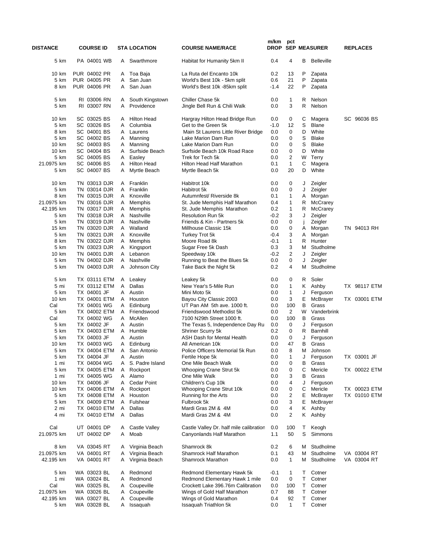| <b>DISTANCE</b>         | <b>COURSE ID</b>             |        | <b>STA LOCATION</b>           | <b>COURSE NAME/RACE</b>                                              | m/km       | pct               |             | DROP SEP MEASURER     | <b>REPLACES</b> |
|-------------------------|------------------------------|--------|-------------------------------|----------------------------------------------------------------------|------------|-------------------|-------------|-----------------------|-----------------|
| 5 km                    | PA 04001 WB                  | A      | Swarthmore                    | Habitat for Humanity 5km II                                          | 0.4        | 4                 | В           | <b>Belleville</b>     |                 |
| 10 km                   | PUR 04002 PR                 |        | A Toa Baja                    | La Ruta del Encanto 10k                                              | 0.2        | 13                | P           | Zapata                |                 |
| 5 km                    | PUR 04005 PR                 | A      | San Juan                      | World's Best 10k - 5km split                                         | 0.6        | 21                | Ρ           | Zapata                |                 |
| 8 km                    | PUR 04006 PR                 | A      | San Juan                      | World's Best 10k -85km split                                         | $-1.4$     | 22                | P           | Zapata                |                 |
| 5 km<br>5 km            | RI 03006 RN<br>RI 03007 RN   | A<br>A | South Kingstown<br>Providence | Chiller Chase 5k<br>Jingle Bell Run & Chili Walk                     | 0.0<br>0.0 | 1<br>3            | R<br>R      | Nelson<br>Nelson      |                 |
| 10 km                   | SC 03025 BS                  | A      | <b>Hilton Head</b>            | Hargray Hilton Head Bridge Run                                       | 0.0        | 0                 | С           | Magera                | SC 96036 BS     |
| 5 km                    | SC 03026 BS                  | A      | Columbia                      | Get to the Green 5k                                                  | $-1.0$     | 12                | S           | <b>Blane</b>          |                 |
| 8 km<br>5 km            | SC 04001 BS<br>SC 04002 BS   | A<br>A | Laurens<br>Manning            | Main St Laurens Little River Bridge<br>Lake Marion Dam Run           | 0.0<br>0.0 | 0<br>0            | D<br>S      | White<br><b>Blake</b> |                 |
| 10 km                   | SC 04003 BS                  | A      | Manning                       | Lake Marion Dam Run                                                  | 0.0        | 0                 | S           | <b>Blake</b>          |                 |
| 10 km                   | SC 04004 BS                  | A      | Surfside Beach                | Surfside Beach 10k Road Race                                         | 0.0        | 0                 | D           | White                 |                 |
| 5 km                    | SC 04005 BS                  | A      | Easley                        | Trek for Tech 5k                                                     | 0.0        | 2                 | W           | Terry                 |                 |
| 21.0975 km              | SC 04006 BS                  | Α      | <b>Hilton Head</b>            | Hilton Head Half Marathon                                            | 0.1        | 1                 | С           | Magera                |                 |
| 5 km                    | SC 04007 BS                  | A      | Myrtle Beach                  | Myrtle Beach 5k                                                      | 0.0        | 20                | D           | White                 |                 |
| 10 km                   | TN 03013 DJR                 | A      | Franklin                      | Habitrot 10k                                                         | 0.0        | 0                 | J           | Zeigler               |                 |
| 5 km                    | TN 03014 DJR                 | A      | Franklin                      | Habitrot 5k                                                          | 0.0        | 0                 | J           | Zeigler               |                 |
| 8 km                    | TN 03015 DJR                 | A      | Knoxville                     | Autumnfest/ Riverside 8k                                             | 0.1        | 1                 | Α           | Morgan                |                 |
| 21.0975 km<br>42.195 km | TN 03016 DJR<br>TN 03017 DJR | A<br>A | Memphis<br>Memphis            | St. Jude Memphis Half Marathon<br>St. Jude Memphis Marathon          | 0.4<br>0.2 | 1<br>$\mathbf{1}$ | R<br>R      | McCrarey<br>McCrarey  |                 |
| 5 km                    | TN 03018 DJR                 | A      | Nashville                     | <b>Resolution Run 5k</b>                                             | $-0.2$     | 3                 | J           | Zeigler               |                 |
| 5 km                    | TN 03019 DJR                 | A      | Nashville                     | Friends & Kin - Partners 5k                                          | 0.0        | 0                 | j           | Zeigler               |                 |
| 15 km                   | TN 03020 DJR                 | A      | Walland                       | Millhouse Classic 15k                                                | 0.0        | 0                 | A           | Morgan                | TN 94013 RH     |
| 5 km                    | TN 03021 DJR                 | A      | Knoxville                     | Turkey Trot 5k                                                       | -0.4       | 3                 | Α           | Morgan                |                 |
| 8 km                    | TN 03022 DJR                 | A      | Memphis                       | Moore Road 8k                                                        | -0.1       | 1                 | R           | Hunter                |                 |
| 5 km                    | TN 03023 DJR                 | A      | Kingsport                     | Sugar Free 5k Dash                                                   | 0.3        | 3                 | м           | Studholme             |                 |
| 10 km                   | TN 04001 DJR                 | A      | Lebanon                       | Speedway 10k                                                         | -0.2       | $\overline{2}$    | J           | Zeigler               |                 |
| 5 km<br>5 km            | TN 04002 DJR<br>TN 04003 DJR | Α<br>A | Nashville<br>Johnson City     | Running to Beat the Blues 5k<br>Take Back the Night 5k               | 0.0<br>0.2 | 0<br>4            | J<br>М      | Zeigler<br>Studholme  |                 |
| 5 km                    | TX 03111 ETM                 | A      | Leakey                        | Leakey 5k                                                            | 0.0        | 0                 | R           | Soler                 |                 |
| 5 mi                    | TX 03112 ETM                 | Α      | Dallas                        | New Year's 5-Mile Run                                                | 0.0        | 1                 | K.          | Ashby                 | TX 98117 ETM    |
| 5 km                    | TX 04001 JF                  | A      | Austin                        | Mini Moto 5k                                                         | 0.0        | 1                 | J           | Ferguson              |                 |
| 10 km<br>Cal            | TX 04001 ETM                 | A      | Houston                       | Bayou City Classic 2003<br>UT Pan AM 5th ave. 1000 ft.               | 0.0<br>0.0 | 3<br>100          | E<br>В      | McBrayer<br>Grass     | TX 03001 ETM    |
| 5 km                    | TX 04001 WG<br>TX 04002 ETM  | A<br>A | Edinburg<br>Friendswood       | Friendswood Methodist 5k                                             | 0.0        | 2                 | W           | Vanderbrink           |                 |
| Cal                     | TX 04002 WG                  | A      | McAllen                       | 7100 N29th Street 1000 ft.                                           | 0.0        | 100               | в           | Grass                 |                 |
| 5 km                    | TX 04002 JF                  | A      | Austin                        | The Texas 5, Independence Day Ru                                     | 0.0        | 0                 | J           | Ferguson              |                 |
| 5 km                    | TX 04003 ETM                 | A      | Humble                        | Shriner Scurry 5k                                                    | 0.2        | 0                 | R           | Barnhill              |                 |
| 5 km                    | TX 04003 JF                  | A      | Austin                        | ASH Dash for Mental Health                                           | 0.0        | 0                 | J           | Ferguson              |                 |
| 10 km                   | TX 04003 WG                  | A      | Edinburg                      | All American 10k                                                     | 0.0        | 47                | В           | Grass                 |                 |
| 5 km                    | TX 04004 ETM                 |        | A San Antonio                 | Police Officers Memorial 5k Run                                      | 0.0        | 8                 |             | M Johnson             |                 |
| 5 km                    | TX 04004 JF                  | A      | Austin                        | Fertile Hope 5k                                                      | 0.0        | 1                 | J           | Ferguson              | TX 03001 JF     |
| 1 mi                    | TX 04004 WG                  | A      | S. Padre Island               | One Mile Beach Walk                                                  | 0.0        | 0                 | В           | Grass                 |                 |
| 5 km                    | TX 04005 ETM                 | A      | Rockport                      | Whooping Crane Strut 5k                                              | 0.0        | 0                 | С           | Mericle               | TX 00022 ETM    |
| 1 mi<br>10 km           | TX 04005 WG<br>TX 04006 JF   | A<br>A | Alamo<br>Cedar Point          | One Mile Walk<br>Children's Cup 10k                                  | 0.0<br>0.0 | 3<br>4            | B<br>J      | Grass<br>Ferguson     |                 |
| 10 km                   | TX 04006 ETM                 | A      | Rockport                      | Whooping Crane Strut 10k                                             | 0.0        | 0                 | С           | Mericle               | TX 00023 ETM    |
| 5 km                    | TX 04008 ETM                 | A      | Houston                       | Running for the Arts                                                 | 0.0        | 2                 | Ε           | McBrayer              | TX 01010 ETM    |
| 5 km                    | TX 04009 ETM                 | A      | Fulshear                      | Fulbrook 5k                                                          | 0.0        | 3                 | E           | McBrayer              |                 |
| 2 mi                    | TX 04010 ETM                 | A      | Dallas                        | Mardi Gras 2M & 4M<br>Mardi Gras 2M & 4M                             | 0.0        | 4<br>2            | K.          | Ashby                 |                 |
| 4 mi                    | TX 04010 ETM                 | A      | Dallas                        |                                                                      | 0.0        |                   | K.          | Ashby                 |                 |
| Cal<br>21.0975 km       | UT 04001 DP<br>UT 04002 DP   | A<br>A | Castle Valley<br>Moab         | Castle Valley Dr. half mile calibration<br>Canyonlands Half Marathon | 0.0<br>1.1 | 100<br>50         | T.<br>S     | Keogh<br>Simmons      |                 |
| 8 km                    | VA 03045 RT                  | A      | Virginia Beach                | Shamrock 8k                                                          | 0.2        | 6                 | м           | Studholme             |                 |
| 21.0975 km              | VA 04001 RT                  | A      | Virginia Beach                | Shamrock Half Marathon                                               | 0.1        | 43                | м           | Studholme             | VA 03004 RT     |
| 42.195 km               | VA 04001 RT                  | A      | Virginia Beach                | <b>Shamrock Marathon</b>                                             | 0.0        | 1                 | м           | Studholme             | VA 03004 RT     |
| 5 km                    | WA 03023 BL                  | A      | Redmond                       | Redmond Elementary Hawk 5k                                           | -0.1       | 1                 | Τ           | Cotner                |                 |
| 1 mi                    | WA 03024 BL                  | A      | Redmond                       | Redmond Elementary Hawk 1 mile                                       | 0.0        | 0                 | Τ           | Cotner                |                 |
| Cal                     | WA 03025 BL                  | A      | Coupeville                    | Crockett Lake 396.76m Calibration                                    | 0.0        | 100               | T.          | Cotner                |                 |
| 21.0975 km              | WA 03026 BL                  | A      | Coupeville                    | Wings of Gold Half Marathon                                          | 0.7        | 88                | Τ           | Cotner                |                 |
| 42.195 km               | WA 03027 BL                  | A      | Coupeville                    | Wings of Gold Marathon                                               | 0.4        | 92                | $\mathsf T$ | Cotner                |                 |
| 5 km                    | WA 03028 BL                  | A      | Issaquah                      | Issaquah Triathlon 5k                                                | 0.0        | 1                 | T.          | Cotner                |                 |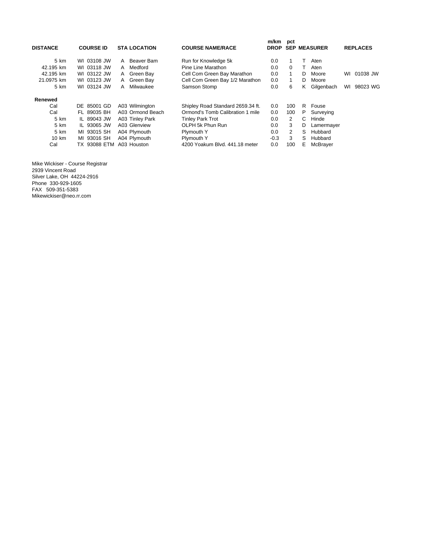| <b>DISTANCE</b> | <b>COURSE ID</b> |             | <b>STA LOCATION</b> | <b>COURSE NAME/RACE</b>           | m/km<br><b>DROP</b> | pct            |   | <b>SEP MEASURER</b> |    | <b>REPLACES</b> |
|-----------------|------------------|-------------|---------------------|-----------------------------------|---------------------|----------------|---|---------------------|----|-----------------|
| 5 km            | WI 03108 JW      | A           | Beaver Bam          | Run for Knowledge 5k              | 0.0                 |                |   | Aten                |    |                 |
| 42.195 km       | WI 03118 JW      | A           | Medford             | Pine Line Marathon                | 0.0                 | $\Omega$       | т | Aten                |    |                 |
| 42.195 km       | WI 03122 JW      | A           | Green Bay           | Cell Com Green Bay Marathon       | 0.0                 | 1              | D | Moore               | WI | 01038 JW        |
| 21.0975 km      | WI 03123 JW      | A           | Green Bay           | Cell Com Green Bay 1/2 Marathon   | 0.0                 |                | D | Moore               |    |                 |
| 5 km            | WI 03124 JW      | А           | Milwaukee           | Samson Stomp                      | 0.0                 | 6              | Κ | Gilgenbach          | WI | 98023 WG        |
| Renewed         |                  |             |                     |                                   |                     |                |   |                     |    |                 |
| Cal             | 85001 GD<br>DE   |             | A03 Wilmington      | Shipley Road Standard 2659.34 ft. | 0.0                 | 100            | R | Fouse               |    |                 |
| Cal             | FL 89035 BH      |             | A03 Ormond Beach    | Ormond's Tomb Calibration 1 mile  | 0.0                 | 100            | P | Surveying           |    |                 |
| 5 km            | IL 89043 JW      |             | A03 Tinley Park     | <b>Tinley Park Trot</b>           | 0.0                 | 2              | C | Hinde               |    |                 |
| 5 km            | IL 93065 JW      |             | A03 Glenview        | OLPH 5k Phun Run                  | 0.0                 | 3              | D | Lamermayer          |    |                 |
| 5 km            | MI 93015 SH      |             | A04 Plymouth        | Plymouth Y                        | 0.0                 | $\overline{2}$ | S | Hubbard             |    |                 |
| 10 km           | MI 93016 SH      |             | A04 Plymouth        | Plymouth Y                        | $-0.3$              | 3              | S | Hubbard             |    |                 |
| Cal             | 93088 ETM<br>TX. | A03 Houston |                     | 4200 Yoakum Blvd. 441.18 meter    | 0.0                 | 100            | Е | McBrayer            |    |                 |

Mike Wickiser - Course Registrar 2939 Vincent Road Silver Lake, OH 44224-2916 Phone 330-929-1605 FAX 509-351-5383 Mikewickiser@neo.rr.com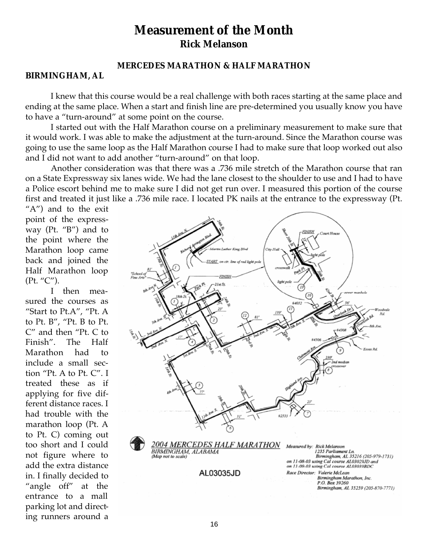# **Measurement of the Month Rick Melanson**

# **MERCEDES MARATHON & HALF MARATHON**

## **BIRMINGHAM, AL**

I knew that this course would be a real challenge with both races starting at the same place and ending at the same place. When a start and finish line are pre-determined you usually know you have to have a "turn-around" at some point on the course.

I started out with the Half Marathon course on a preliminary measurement to make sure that it would work. I was able to make the adjustment at the turn-around. Since the Marathon course was going to use the same loop as the Half Marathon course I had to make sure that loop worked out also and I did not want to add another "turn-around" on that loop.

Another consideration was that there was a .736 mile stretch of the Marathon course that ran on a State Expressway six lanes wide. We had the lane closest to the shoulder to use and I had to have a Police escort behind me to make sure I did not get run over. I measured this portion of the course first and treated it just like a .736 mile race. I located PK nails at the entrance to the expressway (Pt.

"A") and to the exit point of the expressway (Pt. "B") and to the point where the Marathon loop came back and joined the Half Marathon loop (Pt. "C").

I then measured the courses as "Start to Pt.A", "Pt. A to Pt. B", "Pt. B to Pt. C" and then "Pt. C to Finish". The Half Marathon had to include a small section "Pt. A to Pt. C". I treated these as if applying for five different distance races. I had trouble with the marathon loop (Pt. A to Pt. C) coming out too short and I could not figure where to add the extra distance in. I finally decided to "angle off" at the entrance to a mall parking lot and directing runners around a

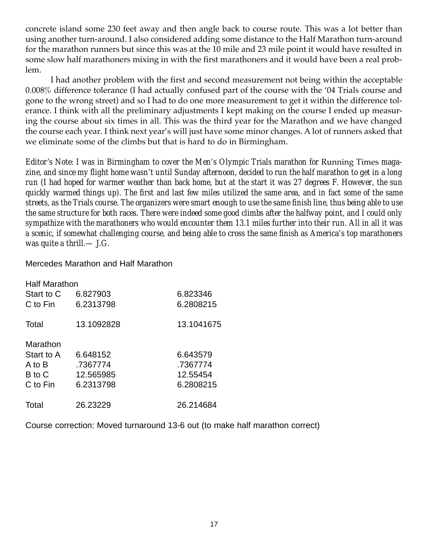concrete island some 230 feet away and then angle back to course route. This was a lot better than using another turn-around. I also considered adding some distance to the Half Marathon turn-around for the marathon runners but since this was at the 10 mile and 23 mile point it would have resulted in some slow half marathoners mixing in with the first marathoners and it would have been a real problem.

I had another problem with the first and second measurement not being within the acceptable 0.008% difference tolerance (I had actually confused part of the course with the '04 Trials course and gone to the wrong street) and so I had to do one more measurement to get it within the difference tolerance. I think with all the preliminary adjustments I kept making on the course I ended up measuring the course about six times in all. This was the third year for the Marathon and we have changed the course each year. I think next year's will just have some minor changes. A lot of runners asked that we eliminate some of the climbs but that is hard to do in Birmingham.

*Editor's Note: I was in Birmingham to cover the Men's Olympic Trials marathon for Running Times magazine, and since my flight home wasn't until Sunday afternoon, decided to run the half marathon to get in a long run (I had hoped for warmer weather than back home, but at the start it was 27 degrees F. However, the sun quickly warmed things up). The first and last few miles utilized the same area, and in fact some of the same streets, as the Trials course. The organizers were smart enough to use the same finish line, thus being able to use the same structure for both races. There were indeed some good climbs after the halfway point, and I could only sympathize with the marathoners who would encounter them 13.1 miles further into their run. All in all it was a scenic, if somewhat challenging course, and being able to cross the same finish as America's top marathoners was quite a thrill.— J.G.*

Mercedes Marathon and Half Marathon

| <b>Half Marathon</b> |            |            |
|----------------------|------------|------------|
| Start to C           | 6.827903   | 6.823346   |
| C to Fin             | 6.2313798  | 6.2808215  |
| Total                | 13.1092828 | 13.1041675 |
| Marathon             |            |            |
| Start to A           | 6.648152   | 6.643579   |
| A to B               | .7367774   | .7367774   |
| B to C               | 12.565985  | 12.55454   |
| C to Fin             | 6.2313798  | 6.2808215  |
| Total                | 26.23229   | 26.214684  |

Course correction: Moved turnaround 13-6 out (to make half marathon correct)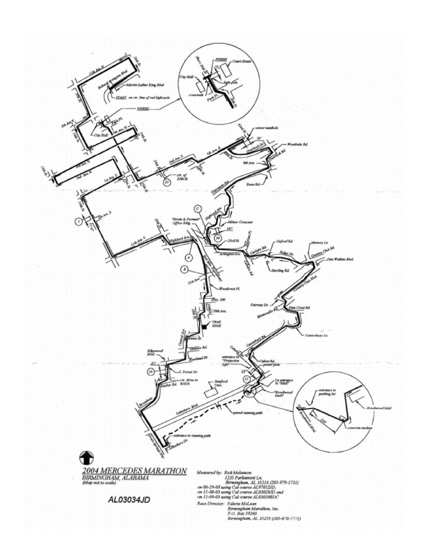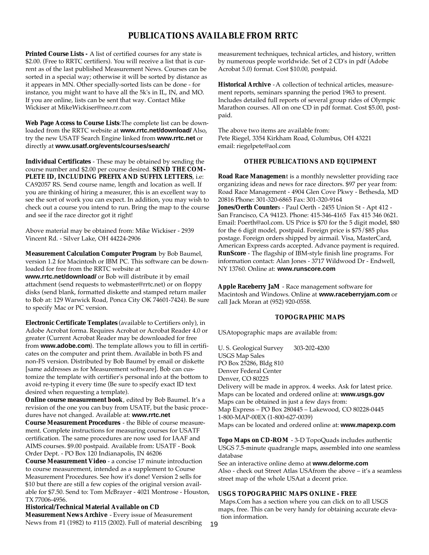# **PUBLICATIONS AVAILABLE FROM RRTC**

**Printed Course Lists** - A list of certified courses for any state is \$2.00. (Free to RRTC certifiers). You will receive a list that is current as of the last published Measurement News. Courses can be sorted in a special way; otherwise it will be sorted by distance as it appears in MN. Other specially-sorted lists can be done - for instance, you might want to have all the 5k's in IL, IN, and MO. If you are online, lists can be sent that way. Contact Mike Wickiser at MikeWickiser@neo.rr.com

**Web Page Access to Course Lists**:The complete list can be downloaded from the RRTC website at **www.rrtc.net/download/** Also, try the new USATF Search Engine linked from **www.rrtc.net** or directly at **www.usatf.org/events/courses/search/**

**Individual Certificates** - These may be obtained by sending the course number and \$2.00 per course desired. **SEND THE COM-PLETE ID, INCLUDING PREFIX AND SUFFIX LETTERS**, i.e: CA92057 RS. Send course name, length and location as well. If you are thinking of hiring a measurer, this is an excellent way to see the sort of work you can expect. In addition, you may wish to check out a course you intend to run. Bring the map to the course and see if the race director got it right!

Above material may be obtained from: Mike Wickiser - 2939 Vincent Rd. - Silver Lake, OH 44224-2906

**Measurement Calculation Computer Program** by Bob Baumel, version 1.2 for Macintosh or IBM PC. This software can be downloaded for free from the RRTC website at

**www.rrtc.net/download/** or Bob will distribute it by email attachment (send requests to webmaster@rrtc.net) or on floppy disks (send blank, formatted diskette and stamped return mailer to Bob at: 129 Warwick Road, Ponca City OK 74601-7424). Be sure to specify Mac or PC version.

**Electronic Certificate Templates** (available to Certifiers only), in Adobe Acrobat forma. Requires Acrobat or Acrobat Reader 4.0 or greater (Current Acrobat Reader may be downloaded for free from **www.adobe.com**). The template allows you to fill in certificates on the computer and print them. Available in both FS and non-FS version. Distributed by Bob Baumel by email or diskette [same addresses as for Measurement software]. Bob can customize the template with certifier's personal info at the bottom to avoid re-typing it every time (Be sure to specify exact ID text desired when requesting a template).

**Online course measurement book**, edited by Bob Baumel. It's a revision of the one you can buy from USATF, but the basic procedures have not changed. Available at: **www.rrtc.net**

**Course Measurement Procedures** - the Bible of course measurement. Complete instructions for measuring courses for USATF certification. The same procedures are now used for IAAF and AIMS courses. \$9.00 postpaid. Available from: USATF - Book Order Dept. - PO Box 120 Indianapolis, IN 46206

**Course Measurement Video** - a concise 17 minute introduction to course measurement, intended as a supplement to Course Measurement Procedures. See how it's done! Version 2 sells for \$10 but there are still a few copies of the original version available for \$7.50. Send to: Tom McBrayer - 4021 Montrose - Houston, TX 77006-4956.

**Historical/Technical Material Available on CD Measurement News Archive** - Every issue of Measurement News from #1 (1982) to #115 (2002). Full of material describing

measurement techniques, technical articles, and history, written by numerous people worldwide. Set of 2 CD's in pdf (Adobe Acrobat 5.0) format. Cost \$10.00, postpaid.

**Historical Archive** -A collection of technical articles, measurement reports, seminars spanning the period 1963 to present. Includes detailed full reports of several group rides of Olympic Marathon courses. All on one CD in pdf format. Cost \$5.00, postpaid.

The above two items are available from: Pete Riegel, 3354 Kirkham Road, Columbus, OH 43221 email: riegelpete@aol.com

#### **OTHER PUBLICATIONS AND EQUIPMENT**

**Road Race Managemen**t is a monthly newsletter providing race organizing ideas and news for race directors. \$97 per year from: Road Race Management - 4904 Glen Cove Pkwy - Bethesda, MD 20816 Phone: 301-320-6865 Fax: 301-320-9164 **Jones/Oerth Counter**s - Paul Oerth - 2455 Union St - Apt 412 - San Francisco, CA 94123. Phone: 415-346-4165 Fax 415 346 0621. Email: Poerth@aol.com. US Price is \$70 for the 5 digit model, \$80 for the 6 digit model, postpaid. Foreign price is \$75/\$85 plus postage. Foreign orders shipped by airmail. Visa, MasterCard, American Express cards accepted. Advance payment is required. **RunScore** - The flagship of IBM-style finish line programs. For information contact: Alan Jones - 3717 Wildwood Dr - Endwell, NY 13760. Online at: **www.runscore.com**

**Apple Raceberry JaM** - Race management software for Macintosh and Windows. Online at **www.raceberryjam.com** or call Jack Moran at (952) 920-0558.

#### **TOPOGRAPHIC MAPS**

USAtopographic maps are available from:

U. S. Geological Survey 303-202-4200 USGS Map Sales PO Box 25286, Bldg 810 Denver Federal Center Denver, CO 80225 Delivery will be made in approx. 4 weeks. Ask for latest price. Maps can be located and ordered online at: **www.usgs.gov** Maps can be obtained in just a few days from: Map Express – PO Box 280445 – Lakewood, CO 80228-0445 1-800-MAP-00EX (1-800-627-0039) Maps can be located and ordered online at: **www.mapexp.com**

**Topo Maps on CD-ROM** - 3-D TopoQuads includes authentic USGS 7.5-minute quadrangle maps, assembled into one seamless database

See an interactive online demo at **www.delorme.com** Also - check out Street Atlas USAfrom the above – it's a seamless street map of the whole USAat a decent price.

#### **USGS TOPOGRAPHIC MAPS ONLINE - FREE**

Maps.Com has a section where you can click on to all USGS maps, free. This can be very handy for obtaining accurate elevation information.